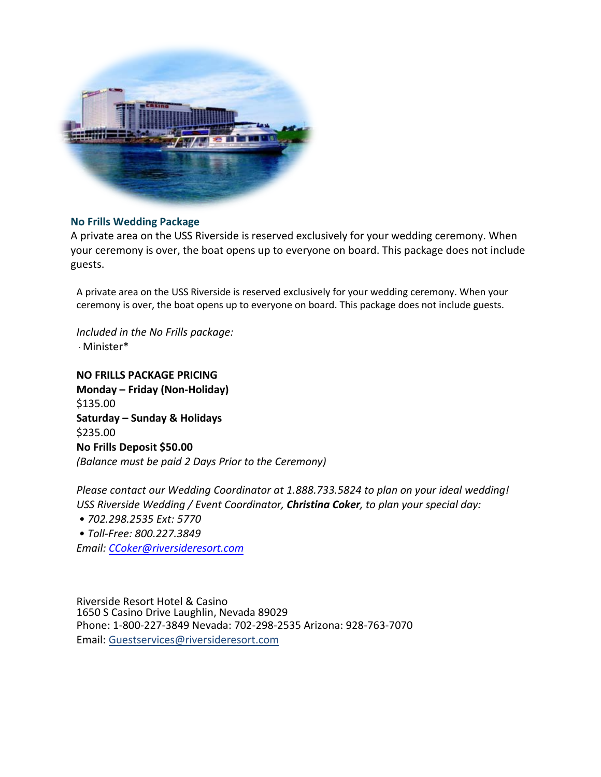

## **No Frills Wedding Package**

A private area on the USS Riverside is reserved exclusively for your wedding ceremony. When your ceremony is over, the boat opens up to everyone on board. This package does not include guests.

A private area on the USS Riverside is reserved exclusively for your wedding ceremony. When your ceremony is over, the boat opens up to everyone on board. This package does not include guests.

*Included in the No Frills package:* · Minister\*

**NO FRILLS PACKAGE PRICING Monday – Friday (Non-Holiday)**  \$135.00 **Saturday – Sunday & Holidays**  \$235.00 **No Frills Deposit \$50.00**  *(Balance must be paid 2 Days Prior to the Ceremony)* 

*Please contact our Wedding Coordinator at 1.888.733.5824 to plan on your ideal wedding! USS Riverside Wedding / Event Coordinator, Christina Coker, to plan your special day:* 

- *702.298.2535 Ext: 5770*
- *• Toll-Free: 800.227.3849*

*Email: CCoker@riversideresort.com*

Riverside Resort Hotel & Casino 1650 S Casino Drive Laughlin, Nevada 89029 Phone: 1-800-227-3849 Nevada: 702-298-2535 Arizona: 928-763-7070 Email: [Guestservices@riversidere](mailto:ccox@riversideresort.com)sort.com